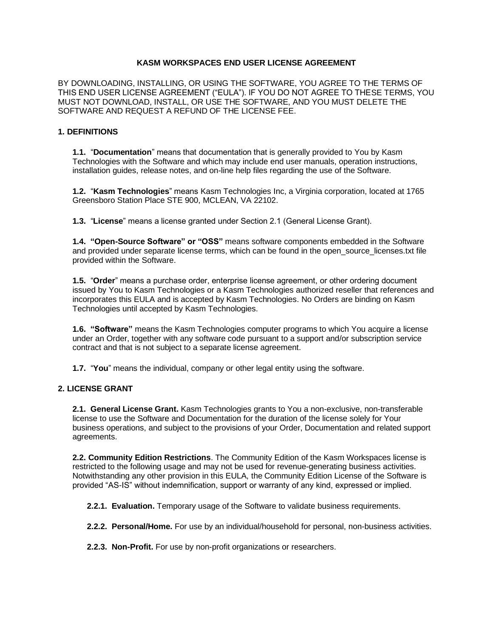#### **KASM WORKSPACES END USER LICENSE AGREEMENT**

BY DOWNLOADING, INSTALLING, OR USING THE SOFTWARE, YOU AGREE TO THE TERMS OF THIS END USER LICENSE AGREEMENT ("EULA"). IF YOU DO NOT AGREE TO THESE TERMS, YOU MUST NOT DOWNLOAD, INSTALL, OR USE THE SOFTWARE, AND YOU MUST DELETE THE SOFTWARE AND REQUEST A REFUND OF THE LICENSE FEE.

#### **1. DEFINITIONS**

**1.1.** "**Documentation**" means that documentation that is generally provided to You by Kasm Technologies with the Software and which may include end user manuals, operation instructions, installation guides, release notes, and on-line help files regarding the use of the Software.

**1.2.** "**Kasm Technologies**" means Kasm Technologies Inc, a Virginia corporation, located at 1765 Greensboro Station Place STE 900, MCLEAN, VA 22102.

**1.3.** "**License**" means a license granted under Section 2.1 (General License Grant).

**1.4. "Open-Source Software" or "OSS"** means software components embedded in the Software and provided under separate license terms, which can be found in the open source licenses.txt file provided within the Software.

**1.5.** "**Order**" means a purchase order, enterprise license agreement, or other ordering document issued by You to Kasm Technologies or a Kasm Technologies authorized reseller that references and incorporates this EULA and is accepted by Kasm Technologies. No Orders are binding on Kasm Technologies until accepted by Kasm Technologies.

**1.6. "Software"** means the Kasm Technologies computer programs to which You acquire a license under an Order, together with any software code pursuant to a support and/or subscription service contract and that is not subject to a separate license agreement.

**1.7.** "**You**" means the individual, company or other legal entity using the software.

### **2. LICENSE GRANT**

**2.1. General License Grant.** Kasm Technologies grants to You a non-exclusive, non-transferable license to use the Software and Documentation for the duration of the license solely for Your business operations, and subject to the provisions of your Order, Documentation and related support agreements.

**2.2. Community Edition Restrictions**. The Community Edition of the Kasm Workspaces license is restricted to the following usage and may not be used for revenue-generating business activities. Notwithstanding any other provision in this EULA, the Community Edition License of the Software is provided "AS-IS" without indemnification, support or warranty of any kind, expressed or implied.

**2.2.1. Evaluation.** Temporary usage of the Software to validate business requirements.

**2.2.2. Personal/Home.** For use by an individual/household for personal, non-business activities.

**2.2.3. Non-Profit.** For use by non-profit organizations or researchers.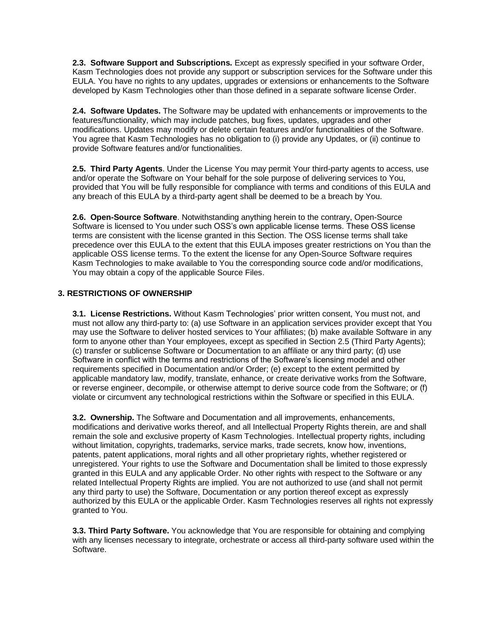**2.3. Software Support and Subscriptions.** Except as expressly specified in your software Order, Kasm Technologies does not provide any support or subscription services for the Software under this EULA. You have no rights to any updates, upgrades or extensions or enhancements to the Software developed by Kasm Technologies other than those defined in a separate software license Order.

**2.4. Software Updates.** The Software may be updated with enhancements or improvements to the features/functionality, which may include patches, bug fixes, updates, upgrades and other modifications. Updates may modify or delete certain features and/or functionalities of the Software. You agree that Kasm Technologies has no obligation to (i) provide any Updates, or (ii) continue to provide Software features and/or functionalities.

**2.5. Third Party Agents**. Under the License You may permit Your third-party agents to access, use and/or operate the Software on Your behalf for the sole purpose of delivering services to You, provided that You will be fully responsible for compliance with terms and conditions of this EULA and any breach of this EULA by a third-party agent shall be deemed to be a breach by You.

**2.6. Open-Source Software**. Notwithstanding anything herein to the contrary, Open-Source Software is licensed to You under such OSS's own applicable license terms. These OSS license terms are consistent with the license granted in this Section. The OSS license terms shall take precedence over this EULA to the extent that this EULA imposes greater restrictions on You than the applicable OSS license terms. To the extent the license for any Open-Source Software requires Kasm Technologies to make available to You the corresponding source code and/or modifications, You may obtain a copy of the applicable Source Files.

### **3. RESTRICTIONS OF OWNERSHIP**

**3.1. License Restrictions.** Without Kasm Technologies' prior written consent, You must not, and must not allow any third-party to: (a) use Software in an application services provider except that You may use the Software to deliver hosted services to Your affiliates; (b) make available Software in any form to anyone other than Your employees, except as specified in Section 2.5 (Third Party Agents); (c) transfer or sublicense Software or Documentation to an affiliate or any third party; (d) use Software in conflict with the terms and restrictions of the Software's licensing model and other requirements specified in Documentation and/or Order; (e) except to the extent permitted by applicable mandatory law, modify, translate, enhance, or create derivative works from the Software, or reverse engineer, decompile, or otherwise attempt to derive source code from the Software; or (f) violate or circumvent any technological restrictions within the Software or specified in this EULA.

**3.2. Ownership.** The Software and Documentation and all improvements, enhancements, modifications and derivative works thereof, and all Intellectual Property Rights therein, are and shall remain the sole and exclusive property of Kasm Technologies. Intellectual property rights, including without limitation, copyrights, trademarks, service marks, trade secrets, know how, inventions, patents, patent applications, moral rights and all other proprietary rights, whether registered or unregistered. Your rights to use the Software and Documentation shall be limited to those expressly granted in this EULA and any applicable Order. No other rights with respect to the Software or any related Intellectual Property Rights are implied. You are not authorized to use (and shall not permit any third party to use) the Software, Documentation or any portion thereof except as expressly authorized by this EULA or the applicable Order. Kasm Technologies reserves all rights not expressly granted to You.

**3.3. Third Party Software.** You acknowledge that You are responsible for obtaining and complying with any licenses necessary to integrate, orchestrate or access all third-party software used within the Software.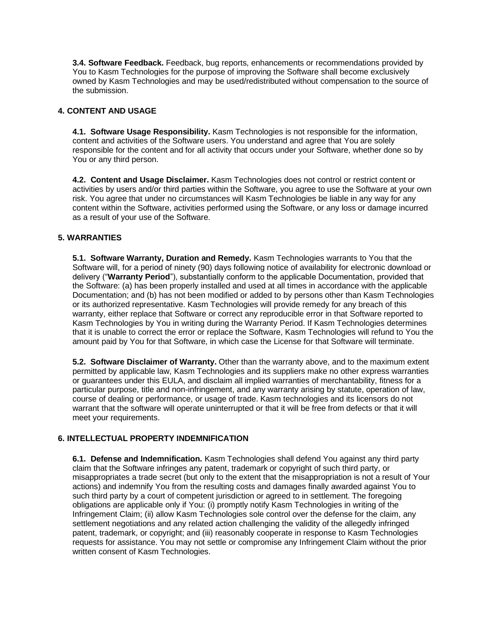**3.4. Software Feedback.** Feedback, bug reports, enhancements or recommendations provided by You to Kasm Technologies for the purpose of improving the Software shall become exclusively owned by Kasm Technologies and may be used/redistributed without compensation to the source of the submission.

### **4. CONTENT AND USAGE**

**4.1. Software Usage Responsibility.** Kasm Technologies is not responsible for the information, content and activities of the Software users. You understand and agree that You are solely responsible for the content and for all activity that occurs under your Software, whether done so by You or any third person.

**4.2. Content and Usage Disclaimer.** Kasm Technologies does not control or restrict content or activities by users and/or third parties within the Software, you agree to use the Software at your own risk. You agree that under no circumstances will Kasm Technologies be liable in any way for any content within the Software, activities performed using the Software, or any loss or damage incurred as a result of your use of the Software.

### **5. WARRANTIES**

**5.1. Software Warranty, Duration and Remedy.** Kasm Technologies warrants to You that the Software will, for a period of ninety (90) days following notice of availability for electronic download or delivery ("**Warranty Period**"), substantially conform to the applicable Documentation, provided that the Software: (a) has been properly installed and used at all times in accordance with the applicable Documentation; and (b) has not been modified or added to by persons other than Kasm Technologies or its authorized representative. Kasm Technologies will provide remedy for any breach of this warranty, either replace that Software or correct any reproducible error in that Software reported to Kasm Technologies by You in writing during the Warranty Period. If Kasm Technologies determines that it is unable to correct the error or replace the Software, Kasm Technologies will refund to You the amount paid by You for that Software, in which case the License for that Software will terminate.

**5.2. Software Disclaimer of Warranty.** Other than the warranty above, and to the maximum extent permitted by applicable law, Kasm Technologies and its suppliers make no other express warranties or guarantees under this EULA, and disclaim all implied warranties of merchantability, fitness for a particular purpose, title and non-infringement, and any warranty arising by statute, operation of law, course of dealing or performance, or usage of trade. Kasm technologies and its licensors do not warrant that the software will operate uninterrupted or that it will be free from defects or that it will meet your requirements.

# **6. INTELLECTUAL PROPERTY INDEMNIFICATION**

**6.1. Defense and Indemnification.** Kasm Technologies shall defend You against any third party claim that the Software infringes any patent, trademark or copyright of such third party, or misappropriates a trade secret (but only to the extent that the misappropriation is not a result of Your actions) and indemnify You from the resulting costs and damages finally awarded against You to such third party by a court of competent jurisdiction or agreed to in settlement. The foregoing obligations are applicable only if You: (i) promptly notify Kasm Technologies in writing of the Infringement Claim; (ii) allow Kasm Technologies sole control over the defense for the claim, any settlement negotiations and any related action challenging the validity of the allegedly infringed patent, trademark, or copyright; and (iii) reasonably cooperate in response to Kasm Technologies requests for assistance. You may not settle or compromise any Infringement Claim without the prior written consent of Kasm Technologies.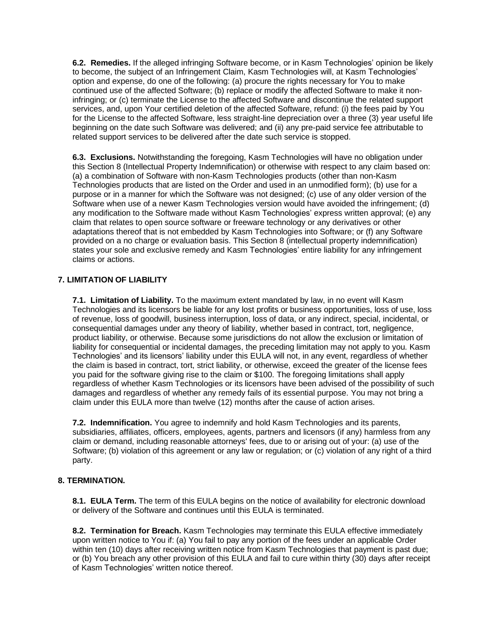**6.2. Remedies.** If the alleged infringing Software become, or in Kasm Technologies' opinion be likely to become, the subject of an Infringement Claim, Kasm Technologies will, at Kasm Technologies' option and expense, do one of the following: (a) procure the rights necessary for You to make continued use of the affected Software; (b) replace or modify the affected Software to make it noninfringing; or (c) terminate the License to the affected Software and discontinue the related support services, and, upon Your certified deletion of the affected Software, refund: (i) the fees paid by You for the License to the affected Software, less straight-line depreciation over a three (3) year useful life beginning on the date such Software was delivered; and (ii) any pre-paid service fee attributable to related support services to be delivered after the date such service is stopped.

**6.3. Exclusions.** Notwithstanding the foregoing, Kasm Technologies will have no obligation under this Section 8 (Intellectual Property Indemnification) or otherwise with respect to any claim based on: (a) a combination of Software with non-Kasm Technologies products (other than non-Kasm Technologies products that are listed on the Order and used in an unmodified form); (b) use for a purpose or in a manner for which the Software was not designed; (c) use of any older version of the Software when use of a newer Kasm Technologies version would have avoided the infringement; (d) any modification to the Software made without Kasm Technologies' express written approval; (e) any claim that relates to open source software or freeware technology or any derivatives or other adaptations thereof that is not embedded by Kasm Technologies into Software; or (f) any Software provided on a no charge or evaluation basis. This Section 8 (intellectual property indemnification) states your sole and exclusive remedy and Kasm Technologies' entire liability for any infringement claims or actions.

### **7. LIMITATION OF LIABILITY**

**7.1. Limitation of Liability.** To the maximum extent mandated by law, in no event will Kasm Technologies and its licensors be liable for any lost profits or business opportunities, loss of use, loss of revenue, loss of goodwill, business interruption, loss of data, or any indirect, special, incidental, or consequential damages under any theory of liability, whether based in contract, tort, negligence, product liability, or otherwise. Because some jurisdictions do not allow the exclusion or limitation of liability for consequential or incidental damages, the preceding limitation may not apply to you. Kasm Technologies' and its licensors' liability under this EULA will not, in any event, regardless of whether the claim is based in contract, tort, strict liability, or otherwise, exceed the greater of the license fees you paid for the software giving rise to the claim or \$100. The foregoing limitations shall apply regardless of whether Kasm Technologies or its licensors have been advised of the possibility of such damages and regardless of whether any remedy fails of its essential purpose. You may not bring a claim under this EULA more than twelve (12) months after the cause of action arises.

**7.2. Indemnification.** You agree to indemnify and hold Kasm Technologies and its parents, subsidiaries, affiliates, officers, employees, agents, partners and licensors (if any) harmless from any claim or demand, including reasonable attorneys' fees, due to or arising out of your: (a) use of the Software; (b) violation of this agreement or any law or regulation; or (c) violation of any right of a third party.

### **8. TERMINATION.**

**8.1. EULA Term.** The term of this EULA begins on the notice of availability for electronic download or delivery of the Software and continues until this EULA is terminated.

**8.2. Termination for Breach.** Kasm Technologies may terminate this EULA effective immediately upon written notice to You if: (a) You fail to pay any portion of the fees under an applicable Order within ten (10) days after receiving written notice from Kasm Technologies that payment is past due; or (b) You breach any other provision of this EULA and fail to cure within thirty (30) days after receipt of Kasm Technologies' written notice thereof.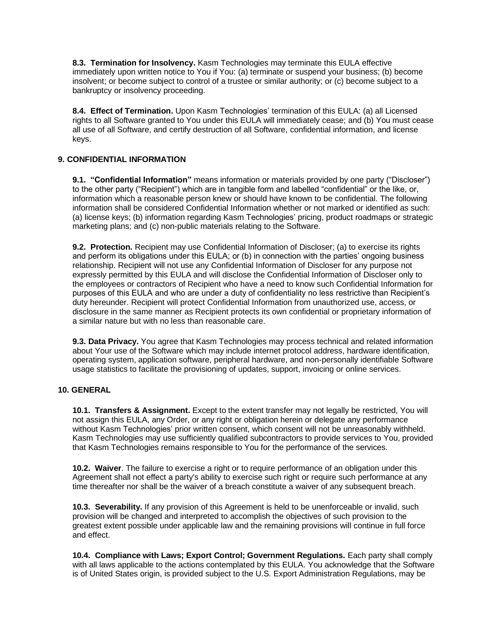**8.3. Termination for Insolvency.** Kasm Technologies may terminate this EULA effective immediately upon written notice to You if You: (a) terminate or suspend your business; (b) become insolvent; or become subject to control of a trustee or similar authority; or (c) become subject to a bankruptcy or insolvency proceeding.

**8.4. Effect of Termination.** Upon Kasm Technologies' termination of this EULA: (a) all Licensed rights to all Software granted to You under this EULA will immediately cease; and (b) You must cease all use of all Software, and certify destruction of all Software, confidential information, and license keys.

### **9. CONFIDENTIAL INFORMATION**

**9.1. "Confidential Information"** means information or materials provided by one party ("Discloser") to the other party ("Recipient") which are in tangible form and labelled "confidential" or the like, or, information which a reasonable person knew or should have known to be confidential. The following information shall be considered Confidential Information whether or not marked or identified as such: (a) license keys; (b) information regarding Kasm Technologies' pricing, product roadmaps or strategic marketing plans; and (c) non-public materials relating to the Software.

**9.2. Protection.** Recipient may use Confidential Information of Discloser; (a) to exercise its rights and perform its obligations under this EULA; or (b) in connection with the parties' ongoing business relationship. Recipient will not use any Confidential Information of Discloser for any purpose not expressly permitted by this EULA and will disclose the Confidential Information of Discloser only to the employees or contractors of Recipient who have a need to know such Confidential Information for purposes of this EULA and who are under a duty of confidentiality no less restrictive than Recipient's duty hereunder. Recipient will protect Confidential Information from unauthorized use, access, or disclosure in the same manner as Recipient protects its own confidential or proprietary information of a similar nature but with no less than reasonable care.

**9.3. Data Privacy.** You agree that Kasm Technologies may process technical and related information about Your use of the Software which may include internet protocol address, hardware identification, operating system, application software, peripheral hardware, and non-personally identifiable Software usage statistics to facilitate the provisioning of updates, support, invoicing or online services.

# **10. GENERAL**

**10.1. Transfers & Assignment.** Except to the extent transfer may not legally be restricted, You will not assign this EULA, any Order, or any right or obligation herein or delegate any performance without Kasm Technologies' prior written consent, which consent will not be unreasonably withheld. Kasm Technologies may use sufficiently qualified subcontractors to provide services to You, provided that Kasm Technologies remains responsible to You for the performance of the services.

**10.2. Waiver**. The failure to exercise a right or to require performance of an obligation under this Agreement shall not effect a party's ability to exercise such right or require such performance at any time thereafter nor shall be the waiver of a breach constitute a waiver of any subsequent breach.

**10.3. Severability.** If any provision of this Agreement is held to be unenforceable or invalid, such provision will be changed and interpreted to accomplish the objectives of such provision to the greatest extent possible under applicable law and the remaining provisions will continue in full force and effect.

**10.4. Compliance with Laws; Export Control; Government Regulations.** Each party shall comply with all laws applicable to the actions contemplated by this EULA. You acknowledge that the Software is of United States origin, is provided subject to the U.S. Export Administration Regulations, may be